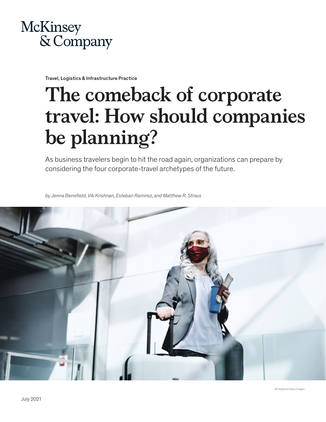

Travel, Logistics & Infrastructure Practice

# **The comeback of corporate travel: How should companies be planning?**

As business travelers begin to hit the road again, organizations can prepare by considering the four corporate-travel archetypes of the future.

*by Jenna Benefield, Vik Krishnan, Esteban Ramirez, and Matthew R. Straus* 

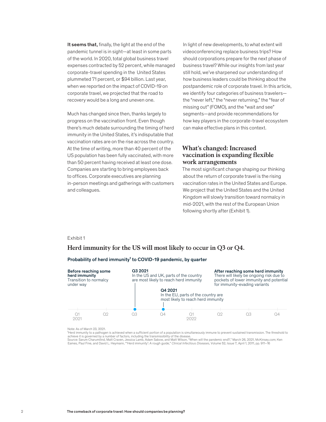It seems that, finally, the light at the end of the pandemic tunnel is in sight—at least in some parts of the world. In 2020, total global business travel expenses contracted by 52 percent, while managed corporate-travel spending in the United States plummeted 71 percent, or \$94 billion. Last year, when we reported on the impact of COVID-19 on corporate travel, we projected that the road to recovery would be a long and uneven one.

Much has changed since then, thanks largely to progress on the vaccination front. Even though there's much debate surrounding the timing of herd immunity in the United States, it's indisputable that vaccination rates are on the rise across the country. At the time of writing, more than 40 percent of the US population has been fully vaccinated, with more than 50 percent having received at least one dose. Companies are starting to bring employees back to offices. Corporate executives are planning in-person meetings and gatherings with customers and colleagues.

In light of new developments, to what extent will videoconferencing replace business trips? How should corporations prepare for the next phase of business travel? While our insights from last year still hold, we've sharpened our understanding of how business leaders could be thinking about the postpandemic role of corporate travel. In this article, we identify four categories of business travelers the "never left," the "never returning," the "fear of missing out" (FOMO), and the "wait and see" segments—and provide recommendations for how key players in the corporate-travel ecosystem can make effective plans in this context.

#### **What's changed: Increased vaccination is expanding flexible work arrangements**

The most significant change shaping our thinking about the return of corporate travel is the rising vaccination rates in the United States and Europe. We project that the United States and the United Kingdom will slowly transition toward normalcy in mid-2021, with the rest of the European Union following shortly after (Exhibit 1).

#### Exhibit 1

# Herd immunity for the US will most likely to occur in Q3 or Q4. **Herd immunity for the US will most likely to occur in Q3 or Q4.**

#### Probability of herd immunity<sup>1</sup> to COVID-19 pandemic, by quarter

| Before reaching some<br>herd immunity<br>Transition to normalcy<br>under way |    | Q3 2021<br>In the US and UK, parts of the country<br>are most likely to reach herd immunity |         |                                                                           | After reaching some herd immunity<br>There will likely be ongoing risk due to<br>pockets of lower immunity and potential<br>for immunity-evading variants |  |     |
|------------------------------------------------------------------------------|----|---------------------------------------------------------------------------------------------|---------|---------------------------------------------------------------------------|-----------------------------------------------------------------------------------------------------------------------------------------------------------|--|-----|
|                                                                              |    |                                                                                             | Q4 2021 | In the EU, parts of the country are<br>most likely to reach herd immunity |                                                                                                                                                           |  |     |
| 2021                                                                         | OS | Ο3                                                                                          | ( )4    | 2022                                                                      |                                                                                                                                                           |  | `)⊿ |

Note: As of March 23, 2021.

'Herd immunity to a pathogen is achieved when a sufficient portion of a population is simultaneously immune to prevent sustained transmission. The threshold to<br>achieve it is governed by a number of factors, including the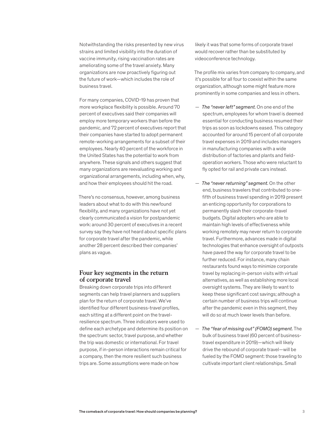Notwithstanding the risks presented by new virus strains and limited visibility into the duration of vaccine immunity, rising vaccination rates are ameliorating some of the travel anxiety. Many organizations are now proactively figuring out the future of work—which includes the role of business travel.

For many companies, COVID-19 has proven that more workplace flexibility is possible. Around 70 percent of executives said their companies will employ more temporary workers than before the pandemic, and 72 percent of executives report that their companies have started to adopt permanent remote-working arrangements for a subset of their employees. Nearly 40 percent of the workforce in the United States has the potential to work from anywhere. These signals and others suggest that many organizations are reevaluating working and organizational arrangements, including when, why, and how their employees should hit the road.

There's no consensus, however, among business leaders about what to do with this newfound flexibility, and many organizations have not yet clearly communicated a vision for postpandemic work: around 30 percent of executives in a recent survey say they have not heard about specific plans for corporate travel after the pandemic, while another 28 percent described their companies' plans as vague.

#### **Four key segments in the return of corporate travel**

Breaking down corporate trips into different segments can help travel planners and suppliers plan for the return of corporate travel. We've identified four different business-travel profiles, each sitting at a different point on the travelresilience spectrum. Three indicators were used to define each archetype and determine its position on the spectrum: sector, travel purpose, and whether the trip was domestic or international. For travel purpose, if in-person interactions remain critical for a company, then the more resilient such business trips are. Some assumptions were made on how

likely it was that some forms of corporate travel would recover rather than be substituted by videoconference technology.

The profile mix varies from company to company, and it's possible for all four to coexist within the same organization, although some might feature more prominently in some companies and less in others.

- *The "never left" segment.* On one end of the spectrum, employees for whom travel is deemed essential for conducting business resumed their trips as soon as lockdowns eased. This category accounted for around 15 percent of all corporate travel expenses in 2019 and includes managers in manufacturing companies with a wide distribution of factories and plants and fieldoperation workers. Those who were reluctant to fly opted for rail and private cars instead.
- *The "never returning" segment.* On the other end, business travelers that contributed to onefifth of business travel spending in 2019 present an enticing opportunity for corporations to permanently slash their corporate-travel budgets. Digital adopters who are able to maintain high levels of effectiveness while working remotely may never return to corporate travel. Furthermore, advances made in digital technologies that enhance oversight of outposts have paved the way for corporate travel to be further reduced. For instance, many chain restaurants found ways to minimize corporate travel by replacing in-person visits with virtual alternatives, as well as establishing more local oversight systems. They are likely to want to keep these significant cost savings; although a certain number of business trips will continue after the pandemic even in this segment, they will do so at much lower levels than before.
- *The "fear of missing out" (FOMO) segment.* The bulk of business travel (60 percent of businesstravel expenditure in 2019)—which will likely drive the rebound of corporate travel—will be fueled by the FOMO segment: those traveling to cultivate important client relationships. Small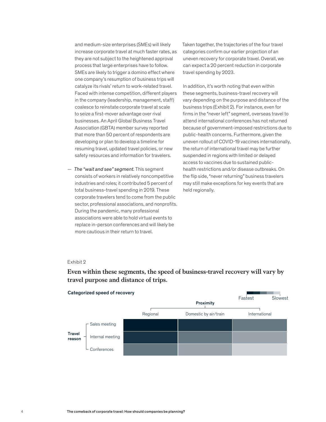and medium-size enterprises (SMEs) will likely increase corporate travel at much faster rates, as they are not subject to the heightened approval process that large enterprises have to follow. SMEs are likely to trigger a domino effect where one company's resumption of business trips will catalyze its rivals' return to work-related travel. Faced with intense competition, different players in the company (leadership, management, staff) coalesce to reinstate corporate travel at scale to seize a first-mover advantage over rival businesses. An April Global Business Travel Association (GBTA) member survey reported that more than 50 percent of respondents are developing or plan to develop a timeline for resuming travel, updated travel policies, or new safety resources and information for travelers.

— *The "wait and see" segment.* This segment consists of workers in relatively noncompetitive industries and roles; it contributed 5 percent of total business-travel spending in 2019. These corporate travelers tend to come from the public sector, professional associations, and nonprofits. During the pandemic, many professional associations were able to hold virtual events to replace in-person conferences and will likely be more cautious in their return to travel.

Taken together, the trajectories of the four travel categories confirm our earlier projection of an uneven recovery for corporate travel. Overall, we can expect a 20 percent reduction in corporate travel spending by 2023.

In addition, it's worth noting that even within these segments, business-travel recovery will vary depending on the purpose and distance of the business trips (Exhibit 2). For instance, even for firms in the "never left" segment, overseas travel to attend international conferences has not returned because of government-imposed restrictions due to public-health concerns. Furthermore, given the uneven rollout of COVID-19 vaccines internationally, the return of international travel may be further suspended in regions with limited or delayed access to vaccines due to sustained publichealth restrictions and/or disease outbreaks. On the flip side, "never returning" business travelers may still make exceptions for key events that are held regionally.

#### Exhibit 2

#### Categorized speed of recovery Regional Domestic by air/train International Sales meeting Internal meeting Travel reason Proximity Fastest Slowest

## Even within these segments, the speed of business-travel recovery will vary by **Even within these segments, the speed of business-travel recovery will vary by**  travel purpose and distance of trips. **travel purpose and distance of trips.**

**Conferences**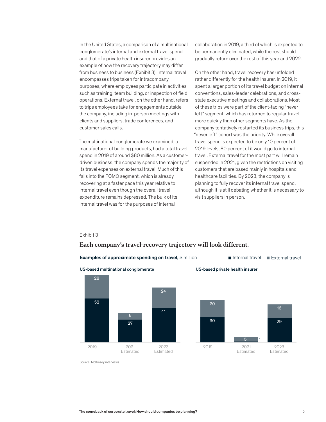In the United States, a comparison of a multinational conglomerate's internal and external travel spend and that of a private health insurer provides an example of how the recovery trajectory may differ from business to business (Exhibit 3). Internal travel encompasses trips taken for intracompany purposes, where employees participate in activities such as training, team building, or inspection of field operations. External travel, on the other hand, refers to trips employees take for engagements outside the company, including in-person meetings with clients and suppliers, trade conferences, and customer sales calls.

The multinational conglomerate we examined, a manufacturer of building products, had a total travel spend in 2019 of around \$80 million. As a customerdriven business, the company spends the majority of its travel expenses on external travel. Much of this falls into the FOMO segment, which is already recovering at a faster pace this year relative to internal travel even though the overall travel expenditure remains depressed. The bulk of its internal travel was for the purposes of internal

collaboration in 2019, a third of which is expected to be permanently eliminated, while the rest should gradually return over the rest of this year and 2022.

On the other hand, travel recovery has unfolded rather differently for the health insurer. In 2019, it spent a larger portion of its travel budget on internal conventions, sales-leader celebrations, and crossstate executive meetings and collaborations. Most of these trips were part of the client-facing "never left" segment, which has returned to regular travel more quickly than other segments have. As the company tentatively restarted its business trips, this "never left" cohort was the priority. While overall travel spend is expected to be only 10 percent of 2019 levels, 80 percent of it would go to internal travel. External travel for the most part will remain suspended in 2021, given the restrictions on visiting customers that are based mainly in hospitals and healthcare facilities. By 2023, the company is planning to fully recover its internal travel spend, although it is still debating whether it is necessary to visit suppliers in person.

#### Exhibit 3

### Each company's travel-recovery trajectory will look different.



Source: McKinsey interviews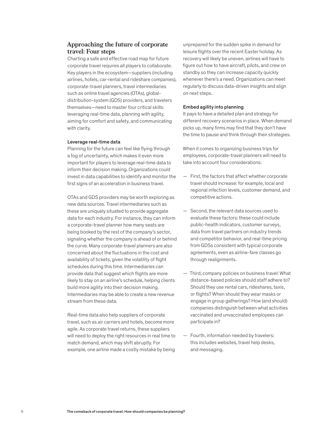#### **Approaching the future of corporate travel: Four steps**

Charting a safe and effective road map for future corporate travel requires all players to collaborate. Key players in the ecosystem—suppliers (including airlines, hotels, car-rental and rideshare companies), corporate-travel planners, travel intermediaries such as online travel agencies (OTAs), globaldistribution-system (GDS) providers, and travelers themselves—need to master four critical skills: leveraging real-time data, planning with agility, aiming for comfort and safety, and communicating with clarity.

#### Leverage real-time data

Planning for the future can feel like flying through a fog of uncertainty, which makes it even more important for players to leverage real-time data to inform their decision making. Organizations could invest in data capabilities to identify and monitor the first signs of an acceleration in business travel.

OTAs and GDS providers may be worth exploring as new data sources. Travel intermediaries such as these are uniquely situated to provide aggregate data for each industry. For instance, they can inform a corporate-travel planner how many seats are being booked by the rest of the company's sector, signaling whether the company is ahead of or behind the curve. Many corporate-travel planners are also concerned about the fluctuations in the cost and availability of tickets, given the volatility of flight schedules during this time. Intermediaries can provide data that suggest which flights are more likely to stay on an airline's schedule, helping clients build more agility into their decision making. Intermediaries may be able to create a new revenue stream from these data.

Real-time data also help suppliers of corporate travel, such as air carriers and hotels, become more agile. As corporate travel returns, these suppliers will need to deploy the right resources in real time to match demand, which may shift abruptly. For example, one airline made a costly mistake by being unprepared for the sudden spike in demand for leisure flights over the recent Easter holiday. As recovery will likely be uneven, airlines will have to figure out how to have aircraft, pilots, and crew on standby so they can increase capacity quickly whenever there's a need. Organizations can meet regularly to discuss data-driven insights and align on next steps.

#### Embed agility into planning

It pays to have a detailed plan and strategy for different recovery scenarios in place. When demand picks up, many firms may find that they don't have the time to pause and think through their strategies.

When it comes to organizing business trips for employees, corporate-travel planners will need to take into account four considerations:

- First, the factors that affect whether corporate travel should increase: for example, local and regional infection levels, customer demand, and competitive actions.
- Second, the relevant data sources used to evaluate these factors: these could include public-health indicators, customer surveys, data from travel partners on industry trends and competitor behavior, and real-time pricing from GDSs consistent with typical corporate agreements, even as airline-fare classes go through realignments.
- Third, company policies on business travel: What distance-based policies should staff adhere to? Should they use rental cars, rideshares, taxis, or flights? When should they wear masks or engage in group gatherings? How (and should) companies distinguish between what activities vaccinated and unvaccinated employees can participate in?
- Fourth, information needed by travelers: this includes websites, travel help desks, and messaging.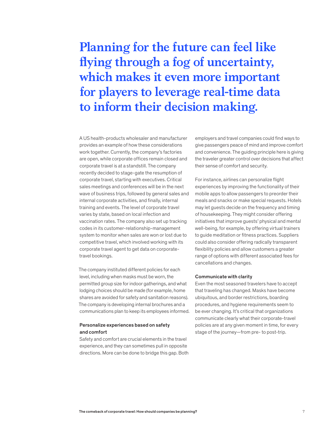# **Planning for the future can feel like flying through a fog of uncertainty, which makes it even more important for players to leverage real-time data to inform their decision making.**

A US health-products wholesaler and manufacturer provides an example of how these considerations work together. Currently, the company's factories are open, while corporate offices remain closed and corporate travel is at a standstill. The company recently decided to stage-gate the resumption of corporate travel, starting with executives. Critical sales meetings and conferences will be in the next wave of business trips, followed by general sales and internal corporate activities, and finally, internal training and events. The level of corporate travel varies by state, based on local infection and vaccination rates. The company also set up tracking codes in its customer-relationship-management system to monitor when sales are won or lost due to competitive travel, which involved working with its corporate travel agent to get data on corporatetravel bookings.

The company instituted different policies for each level, including when masks must be worn, the permitted group size for indoor gatherings, and what lodging choices should be made (for example, home shares are avoided for safety and sanitation reasons). The company is developing internal brochures and a communications plan to keep its employees informed.

#### Personalize experiences based on safety and comfort

Safety and comfort are crucial elements in the travel experience, and they can sometimes pull in opposite directions. More can be done to bridge this gap. Both

employers and travel companies could find ways to give passengers peace of mind and improve comfort and convenience. The guiding principle here is giving the traveler greater control over decisions that affect their sense of comfort and security.

For instance, airlines can personalize flight experiences by improving the functionality of their mobile apps to allow passengers to preorder their meals and snacks or make special requests. Hotels may let guests decide on the frequency and timing of housekeeping. They might consider offering initiatives that improve guests' physical and mental well-being, for example, by offering virtual trainers to guide meditation or fitness practices. Suppliers could also consider offering radically transparent flexibility policies and allow customers a greater range of options with different associated fees for cancellations and changes.

#### Communicate with clarity

Even the most seasoned travelers have to accept that traveling has changed. Masks have become ubiquitous, and border restrictions, boarding procedures, and hygiene requirements seem to be ever changing. It's critical that organizations communicate clearly what their corporate-travel policies are at any given moment in time, for every stage of the journey—from pre- to post-trip.